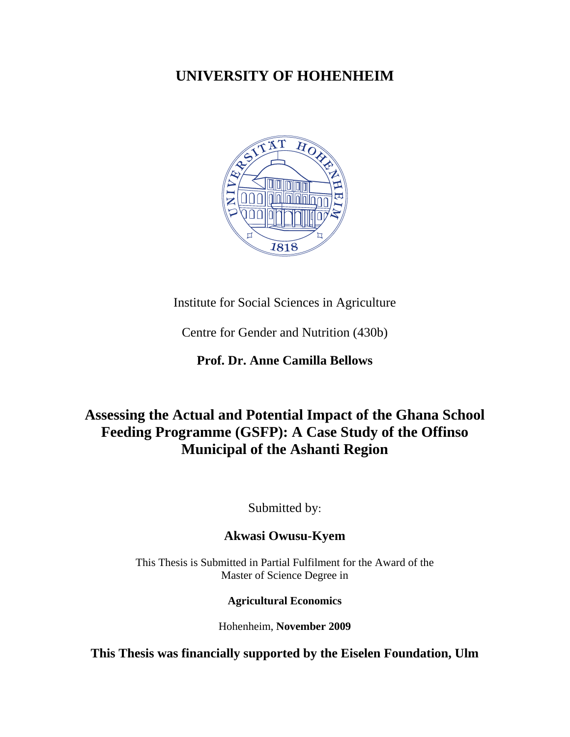## **UNIVERSITY OF HOHENHEIM**



Institute for Social Sciences in Agriculture

Centre for Gender and Nutrition (430b)

**Prof. Dr. Anne Camilla Bellows** 

# **Assessing the Actual and Potential Impact of the Ghana School Feeding Programme (GSFP): A Case Study of the Offinso Municipal of the Ashanti Region**

Submitted by:

## **Akwasi Owusu-Kyem**

This Thesis is Submitted in Partial Fulfilment for the Award of the Master of Science Degree in

### **Agricultural Economics**

Hohenheim, **November 2009** 

**This Thesis was financially supported by the Eiselen Foundation, Ulm**